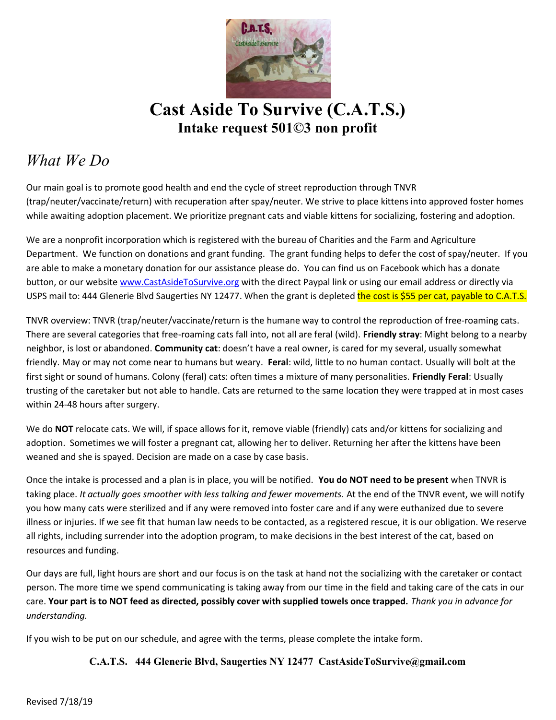

Cast Aside To Survive (C.A.T.S.) Intake request 501©3 non profit

## What We Do

Our main goal is to promote good health and end the cycle of street reproduction through TNVR (trap/neuter/vaccinate/return) with recuperation after spay/neuter. We strive to place kittens into approved foster homes while awaiting adoption placement. We prioritize pregnant cats and viable kittens for socializing, fostering and adoption.

We are a nonprofit incorporation which is registered with the bureau of Charities and the Farm and Agriculture Department. We function on donations and grant funding. The grant funding helps to defer the cost of spay/neuter. If you are able to make a monetary donation for our assistance please do. You can find us on Facebook which has a donate button, or our website www.CastAsideToSurvive.org with the direct Paypal link or using our email address or directly via USPS mail to: 444 Glenerie Blvd Saugerties NY 12477. When the grant is depleted the cost is \$55 per cat, payable to C.A.T.S.

TNVR overview: TNVR (trap/neuter/vaccinate/return is the humane way to control the reproduction of free-roaming cats. There are several categories that free-roaming cats fall into, not all are feral (wild). Friendly stray: Might belong to a nearby neighbor, is lost or abandoned. Community cat: doesn't have a real owner, is cared for my several, usually somewhat friendly. May or may not come near to humans but weary. Feral: wild, little to no human contact. Usually will bolt at the first sight or sound of humans. Colony (feral) cats: often times a mixture of many personalities. Friendly Feral: Usually trusting of the caretaker but not able to handle. Cats are returned to the same location they were trapped at in most cases within 24-48 hours after surgery.

We do NOT relocate cats. We will, if space allows for it, remove viable (friendly) cats and/or kittens for socializing and adoption. Sometimes we will foster a pregnant cat, allowing her to deliver. Returning her after the kittens have been weaned and she is spayed. Decision are made on a case by case basis.

Once the intake is processed and a plan is in place, you will be notified. You do NOT need to be present when TNVR is taking place. It actually goes smoother with less talking and fewer movements. At the end of the TNVR event, we will notify you how many cats were sterilized and if any were removed into foster care and if any were euthanized due to severe illness or injuries. If we see fit that human law needs to be contacted, as a registered rescue, it is our obligation. We reserve all rights, including surrender into the adoption program, to make decisions in the best interest of the cat, based on resources and funding.

Our days are full, light hours are short and our focus is on the task at hand not the socializing with the caretaker or contact person. The more time we spend communicating is taking away from our time in the field and taking care of the cats in our care. Your part is to NOT feed as directed, possibly cover with supplied towels once trapped. Thank you in advance for understanding.

If you wish to be put on our schedule, and agree with the terms, please complete the intake form.

## C.A.T.S. 444 Glenerie Blvd, Saugerties NY 12477 CastAsideToSurvive@gmail.com